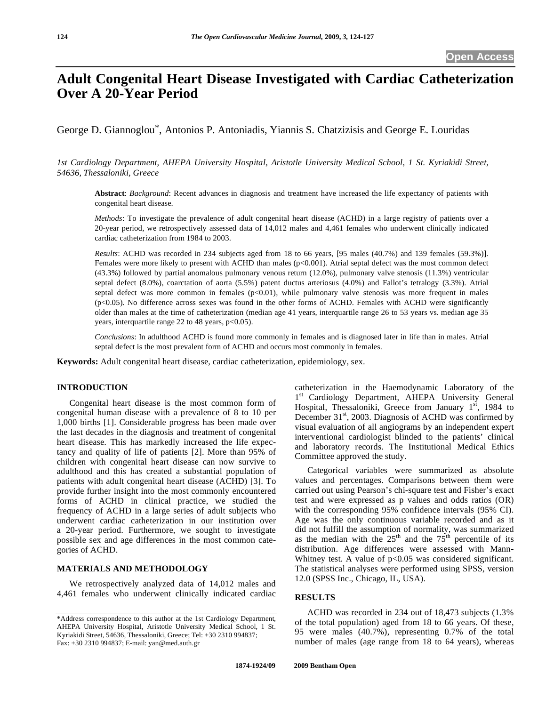# **Adult Congenital Heart Disease Investigated with Cardiac Catheterization Over A 20-Year Period**

George D. Giannoglou\*, Antonios P. Antoniadis, Yiannis S. Chatzizisis and George E. Louridas

*1st Cardiology Department, AHEPA University Hospital, Aristotle University Medical School, 1 St. Kyriakidi Street, 54636, Thessaloniki, Greece* 

**Abstract**: *Background*: Recent advances in diagnosis and treatment have increased the life expectancy of patients with congenital heart disease.

*Methods*: To investigate the prevalence of adult congenital heart disease (ACHD) in a large registry of patients over a 20-year period, we retrospectively assessed data of 14,012 males and 4,461 females who underwent clinically indicated cardiac catheterization from 1984 to 2003.

*Results*: ACHD was recorded in 234 subjects aged from 18 to 66 years, [95 males (40.7%) and 139 females (59.3%)]. Females were more likely to present with ACHD than males (p<0.001). Atrial septal defect was the most common defect (43.3%) followed by partial anomalous pulmonary venous return (12.0%), pulmonary valve stenosis (11.3%) ventricular septal defect (8.0%), coarctation of aorta (5.5%) patent ductus arteriosus (4.0%) and Fallot's tetralogy (3.3%). Atrial septal defect was more common in females (p<0.01), while pulmonary valve stenosis was more frequent in males (p<0.05). No difference across sexes was found in the other forms of ACHD. Females with ACHD were significantly older than males at the time of catheterization (median age 41 years, interquartile range 26 to 53 years vs. median age 35 years, interquartile range 22 to 48 years, p<0.05).

*Conclusions*: In adulthood ACHD is found more commonly in females and is diagnosed later in life than in males. Atrial septal defect is the most prevalent form of ACHD and occurs most commonly in females.

**Keywords:** Adult congenital heart disease, cardiac catheterization, epidemiology, sex.

## **INTRODUCTION**

 Congenital heart disease is the most common form of congenital human disease with a prevalence of 8 to 10 per 1,000 births [1]. Considerable progress has been made over the last decades in the diagnosis and treatment of congenital heart disease. This has markedly increased the life expectancy and quality of life of patients [2]. More than 95% of children with congenital heart disease can now survive to adulthood and this has created a substantial population of patients with adult congenital heart disease (ACHD) [3]. To provide further insight into the most commonly encountered forms of ACHD in clinical practice, we studied the frequency of ACHD in a large series of adult subjects who underwent cardiac catheterization in our institution over a 20-year period. Furthermore, we sought to investigate possible sex and age differences in the most common categories of ACHD.

# **MATERIALS AND METHODOLOGY**

 We retrospectively analyzed data of 14,012 males and 4,461 females who underwent clinically indicated cardiac

catheterization in the Haemodynamic Laboratory of the 1<sup>st</sup> Cardiology Department, AHEPA University General Hospital, Thessaloniki, Greece from January  $1<sup>st</sup>$ , 1984 to December 31<sup>st</sup>, 2003. Diagnosis of ACHD was confirmed by visual evaluation of all angiograms by an independent expert interventional cardiologist blinded to the patients' clinical and laboratory records. The Institutional Medical Ethics Committee approved the study.

 Categorical variables were summarized as absolute values and percentages. Comparisons between them were carried out using Pearson's chi-square test and Fisher's exact test and were expressed as p values and odds ratios (OR) with the corresponding 95% confidence intervals (95% CI). Age was the only continuous variable recorded and as it did not fulfill the assumption of normality, was summarized as the median with the  $25<sup>th</sup>$  and the  $75<sup>th</sup>$  percentile of its distribution. Age differences were assessed with Mann-Whitney test. A value of  $p<0.05$  was considered significant. The statistical analyses were performed using SPSS, version 12.0 (SPSS Inc., Chicago, IL, USA).

### **RESULTS**

 ACHD was recorded in 234 out of 18,473 subjects (1.3% of the total population) aged from 18 to 66 years. Of these, 95 were males (40.7%), representing 0.7% of the total number of males (age range from 18 to 64 years), whereas

<sup>\*</sup>Address correspondence to this author at the 1st Cardiology Department, AHEPA University Hospital, Aristotle University Medical School, 1 St. Kyriakidi Street, 54636, Thessaloniki, Greece; Tel: +30 2310 994837; Fax: +30 2310 994837; E-mail: yan@med.auth.gr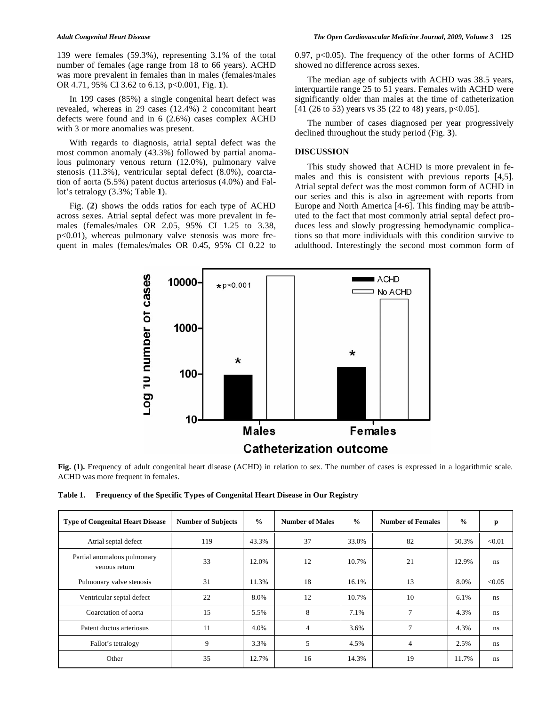139 were females (59.3%), representing 3.1% of the total number of females (age range from 18 to 66 years). ACHD was more prevalent in females than in males (females/males OR 4.71, 95% CI 3.62 to 6.13, p<0.001, Fig. **1**).

 In 199 cases (85%) a single congenital heart defect was revealed, whereas in 29 cases (12.4%) 2 concomitant heart defects were found and in 6 (2.6%) cases complex ACHD with 3 or more anomalies was present.

 With regards to diagnosis, atrial septal defect was the most common anomaly (43.3%) followed by partial anomalous pulmonary venous return (12.0%), pulmonary valve stenosis (11.3%), ventricular septal defect (8.0%), coarctation of aorta (5.5%) patent ductus arteriosus (4.0%) and Fallot's tetralogy (3.3%; Table **1**).

 Fig. (**2**) shows the odds ratios for each type of ACHD across sexes. Atrial septal defect was more prevalent in females (females/males OR 2.05, 95% CI 1.25 to 3.38, p<0.01), whereas pulmonary valve stenosis was more frequent in males (females/males OR 0.45, 95% CI 0.22 to 0.97,  $p<0.05$ ). The frequency of the other forms of ACHD showed no difference across sexes.

 The median age of subjects with ACHD was 38.5 years, interquartile range 25 to 51 years. Females with ACHD were significantly older than males at the time of catheterization [41 (26 to 53) years vs 35 (22 to 48) years, p<0.05].

 The number of cases diagnosed per year progressively declined throughout the study period (Fig. **3**).

#### **DISCUSSION**

 This study showed that ACHD is more prevalent in females and this is consistent with previous reports [4,5]. Atrial septal defect was the most common form of ACHD in our series and this is also in agreement with reports from Europe and North America [4-6]. This finding may be attributed to the fact that most commonly atrial septal defect produces less and slowly progressing hemodynamic complications so that more individuals with this condition survive to adulthood. Interestingly the second most common form of



Fig. (1). Frequency of adult congenital heart disease (ACHD) in relation to sex. The number of cases is expressed in a logarithmic scale. ACHD was more frequent in females.

| Table 1. Frequency of the Specific Types of Congenital Heart Disease in Our Registry |  |
|--------------------------------------------------------------------------------------|--|
|--------------------------------------------------------------------------------------|--|

| <b>Type of Congenital Heart Disease</b>      | <b>Number of Subjects</b> | $\frac{0}{0}$ | <b>Number of Males</b> | $\frac{0}{0}$ | <b>Number of Females</b> | $\frac{0}{0}$ | p      |
|----------------------------------------------|---------------------------|---------------|------------------------|---------------|--------------------------|---------------|--------|
| Atrial septal defect                         | 119                       | 43.3%         | 37                     | 33.0%         | 82                       | 50.3%         | < 0.01 |
| Partial anomalous pulmonary<br>venous return | 33                        | 12.0%         | 12                     | 10.7%         | 21                       | 12.9%         | ns     |
| Pulmonary valve stenosis                     | 31                        | 11.3%         | 18                     | 16.1%         | 13                       | 8.0%          | < 0.05 |
| Ventricular septal defect                    | 22                        | 8.0%          | 12                     | 10.7%         | 10                       | 6.1%          | ns.    |
| Coarctation of aorta                         | 15                        | 5.5%          | 8                      | 7.1%          | 7                        | 4.3%          | ns.    |
| Patent ductus arteriosus                     | 11                        | 4.0%          | $\overline{4}$         | 3.6%          | $\mathcal{I}$            | 4.3%          | ns.    |
| Fallot's tetralogy                           | 9                         | 3.3%          | 5                      | 4.5%          | 4                        | 2.5%          | ns.    |
| Other                                        | 35                        | 12.7%         | 16                     | 14.3%         | 19                       | 11.7%         | ns.    |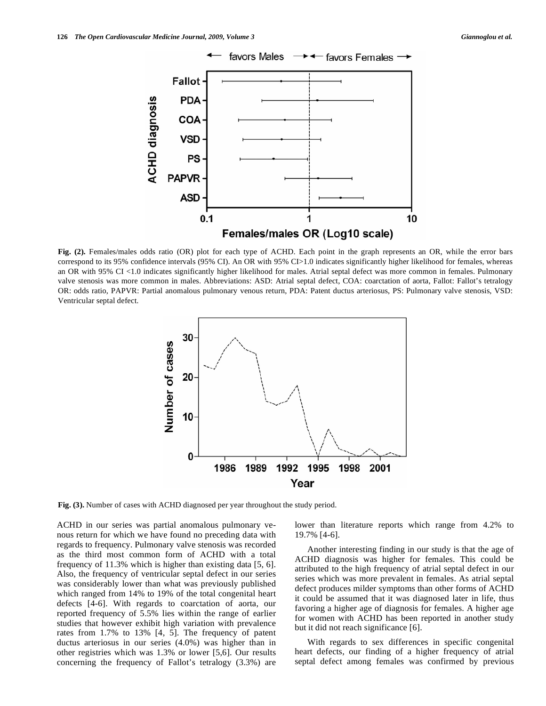

**Fig. (2).** Females/males odds ratio (OR) plot for each type of ACHD. Each point in the graph represents an OR, while the error bars correspond to its 95% confidence intervals (95% CI). An OR with 95% CI>1.0 indicates significantly higher likelihood for females, whereas an OR with 95% CI <1.0 indicates significantly higher likelihood for males. Atrial septal defect was more common in females. Pulmonary valve stenosis was more common in males. Abbreviations: ASD: Atrial septal defect, COA: coarctation of aorta, Fallot: Fallot's tetralogy OR: odds ratio, PAPVR: Partial anomalous pulmonary venous return, PDA: Patent ductus arteriosus, PS: Pulmonary valve stenosis, VSD: Ventricular septal defect.



**Fig. (3).** Number of cases with ACHD diagnosed per year throughout the study period.

ACHD in our series was partial anomalous pulmonary venous return for which we have found no preceding data with regards to frequency. Pulmonary valve stenosis was recorded as the third most common form of ACHD with a total frequency of 11.3% which is higher than existing data [5, 6]. Also, the frequency of ventricular septal defect in our series was considerably lower than what was previously published which ranged from 14% to 19% of the total congenital heart defects [4-6]. With regards to coarctation of aorta, our reported frequency of 5.5% lies within the range of earlier studies that however exhibit high variation with prevalence rates from 1.7% to 13% [4, 5]. The frequency of patent ductus arteriosus in our series (4.0%) was higher than in other registries which was 1.3% or lower [5,6]. Our results concerning the frequency of Fallot's tetralogy (3.3%) are lower than literature reports which range from 4.2% to 19.7% [4-6].

 Another interesting finding in our study is that the age of ACHD diagnosis was higher for females. This could be attributed to the high frequency of atrial septal defect in our series which was more prevalent in females. As atrial septal defect produces milder symptoms than other forms of ACHD it could be assumed that it was diagnosed later in life, thus favoring a higher age of diagnosis for females. A higher age for women with ACHD has been reported in another study but it did not reach significance [6].

 With regards to sex differences in specific congenital heart defects, our finding of a higher frequency of atrial septal defect among females was confirmed by previous